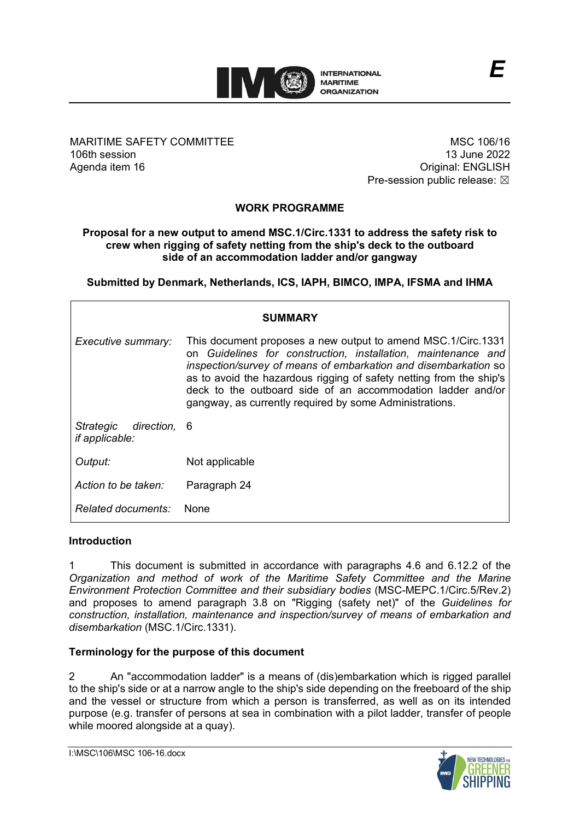

MARITIME SAFETY COMMITTEE 106th session Agenda item 16

MSC 106/16 13 June 2022 Original: ENGLISH Pre-session public release:  $\boxtimes$ 

# **WORK PROGRAMME**

#### **Proposal for a new output to amend MSC.1/Circ.1331 to address the safety risk to crew when rigging of safety netting from the shipʹs deck to the outboard side of an accommodation ladder and/or gangway**

**Submitted by Denmark, Netherlands, ICS, IAPH, BIMCO, IMPA, IFSMA and IHMA**

| <b>SUMMARY</b>                                     |                                                                                                                                                                                                                                                                                                                                                                                                   |  |  |
|----------------------------------------------------|---------------------------------------------------------------------------------------------------------------------------------------------------------------------------------------------------------------------------------------------------------------------------------------------------------------------------------------------------------------------------------------------------|--|--|
| Executive summary:                                 | This document proposes a new output to amend MSC.1/Circ.1331<br>on Guidelines for construction, installation, maintenance and<br>inspection/survey of means of embarkation and disembarkation so<br>as to avoid the hazardous rigging of safety netting from the ship's<br>deck to the outboard side of an accommodation ladder and/or<br>gangway, as currently required by some Administrations. |  |  |
| Strategic<br>direction, 6<br><i>if applicable:</i> |                                                                                                                                                                                                                                                                                                                                                                                                   |  |  |
| Output:                                            | Not applicable                                                                                                                                                                                                                                                                                                                                                                                    |  |  |
| Action to be taken:                                | Paragraph 24                                                                                                                                                                                                                                                                                                                                                                                      |  |  |
| <i>Related documents:</i>                          | <b>None</b>                                                                                                                                                                                                                                                                                                                                                                                       |  |  |

## **Introduction**

1 This document is submitted in accordance with paragraphs 4.6 and 6.12.2 of the *Organization and method of work of the Maritime Safety Committee and the Marine Environment Protection Committee and their subsidiary bodies* (MSC-MEPC.1/Circ.5/Rev.2) and proposes to amend paragraph 3.8 on "Rigging (safety net)" of the *Guidelines for construction, installation, maintenance and inspection/survey of means of embarkation and disembarkation* (MSC.1/Circ.1331).

## **Terminology for the purpose of this document**

2 An "accommodation ladder" is a means of (dis)embarkation which is rigged parallel to the shipʹs side or at a narrow angle to the shipʹs side depending on the freeboard of the ship and the vessel or structure from which a person is transferred, as well as on its intended purpose (e.g. transfer of persons at sea in combination with a pilot ladder, transfer of people while moored alongside at a quay).

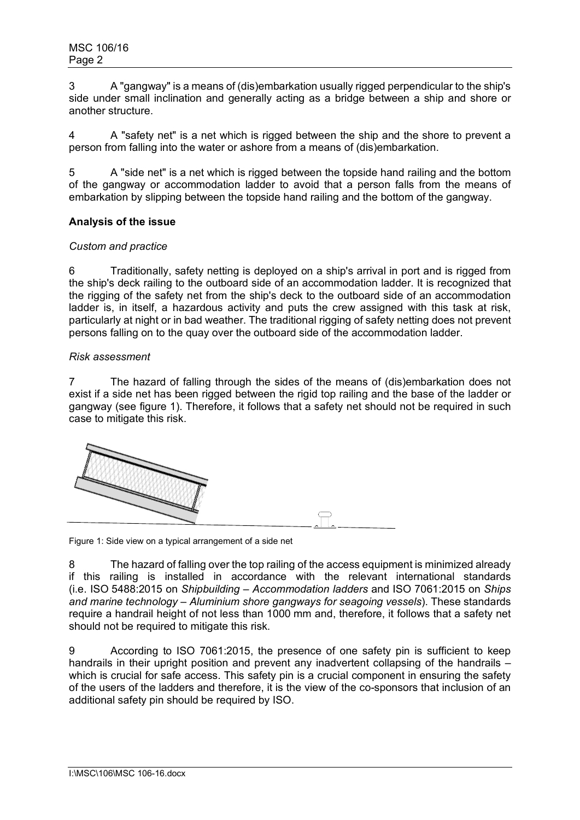3 A "gangway" is a means of (dis)embarkation usually rigged perpendicular to the shipʹs side under small inclination and generally acting as a bridge between a ship and shore or another structure.

4 A "safety net" is a net which is rigged between the ship and the shore to prevent a person from falling into the water or ashore from a means of (dis)embarkation.

5 A "side net" is a net which is rigged between the topside hand railing and the bottom of the gangway or accommodation ladder to avoid that a person falls from the means of embarkation by slipping between the topside hand railing and the bottom of the gangway.

## **Analysis of the issue**

## *Custom and practice*

6 Traditionally, safety netting is deployed on a shipʹs arrival in port and is rigged from the shipʹs deck railing to the outboard side of an accommodation ladder. It is recognized that the rigging of the safety net from the shipʹs deck to the outboard side of an accommodation ladder is, in itself, a hazardous activity and puts the crew assigned with this task at risk, particularly at night or in bad weather. The traditional rigging of safety netting does not prevent persons falling on to the quay over the outboard side of the accommodation ladder.

## *Risk assessment*

7 The hazard of falling through the sides of the means of (dis)embarkation does not exist if a side net has been rigged between the rigid top railing and the base of the ladder or gangway (see figure 1). Therefore, it follows that a safety net should not be required in such case to mitigate this risk.



Figure 1: Side view on a typical arrangement of a side net

8 The hazard of falling over the top railing of the access equipment is minimized already if this railing is installed in accordance with the relevant international standards (i.e. ISO 5488:2015 on *Shipbuilding – Accommodation ladders* and ISO 7061:2015 on *Ships and marine technology – Aluminium shore gangways for seagoing vessels*). These standards require a handrail height of not less than 1000 mm and, therefore, it follows that a safety net should not be required to mitigate this risk.

9 According to ISO 7061:2015, the presence of one safety pin is sufficient to keep handrails in their upright position and prevent any inadvertent collapsing of the handrails – which is crucial for safe access. This safety pin is a crucial component in ensuring the safety of the users of the ladders and therefore, it is the view of the co-sponsors that inclusion of an additional safety pin should be required by ISO.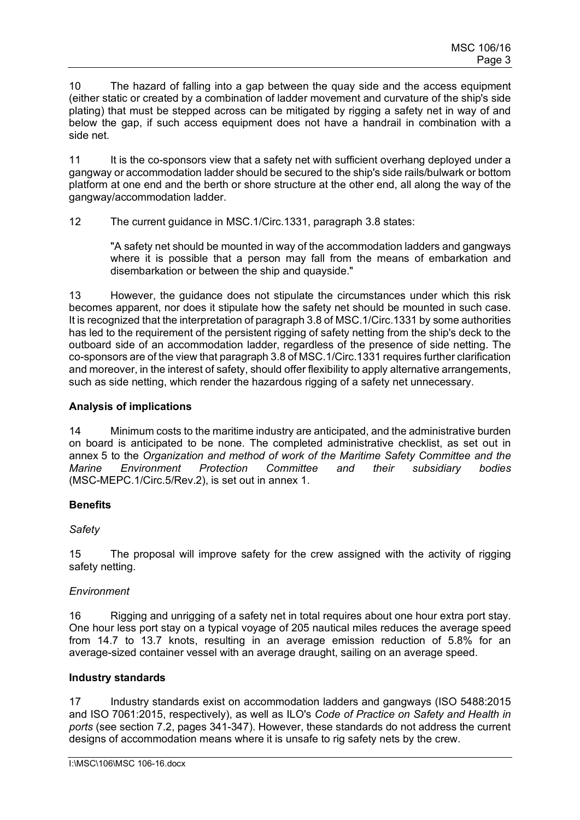10 The hazard of falling into a gap between the quay side and the access equipment (either static or created by a combination of ladder movement and curvature of the shipʹs side plating) that must be stepped across can be mitigated by rigging a safety net in way of and below the gap, if such access equipment does not have a handrail in combination with a side net.

11 It is the co-sponsors view that a safety net with sufficient overhang deployed under a gangway or accommodation ladder should be secured to the shipʹs side rails/bulwark or bottom platform at one end and the berth or shore structure at the other end, all along the way of the gangway/accommodation ladder.

12 The current guidance in MSC.1/Circ.1331, paragraph 3.8 states:

"A safety net should be mounted in way of the accommodation ladders and gangways where it is possible that a person may fall from the means of embarkation and disembarkation or between the ship and quayside."

13 However, the guidance does not stipulate the circumstances under which this risk becomes apparent, nor does it stipulate how the safety net should be mounted in such case. It is recognized that the interpretation of paragraph 3.8 of MSC.1/Circ.1331 by some authorities has led to the requirement of the persistent rigging of safety netting from the shipʹs deck to the outboard side of an accommodation ladder, regardless of the presence of side netting. The co-sponsors are of the view that paragraph 3.8 of MSC.1/Circ.1331 requires further clarification and moreover, in the interest of safety, should offer flexibility to apply alternative arrangements, such as side netting, which render the hazardous rigging of a safety net unnecessary.

## **Analysis of implications**

14 Minimum costs to the maritime industry are anticipated, and the administrative burden on board is anticipated to be none. The completed administrative checklist, as set out in annex 5 to the *Organization and method of work of the Maritime Safety Committee and the Marine Environment Protection Committee and their subsidiary bodies* (MSC-MEPC.1/Circ.5/Rev.2), is set out in annex 1.

# **Benefits**

## *Safety*

15 The proposal will improve safety for the crew assigned with the activity of rigging safety netting.

## *Environment*

16 Rigging and unrigging of a safety net in total requires about one hour extra port stay. One hour less port stay on a typical voyage of 205 nautical miles reduces the average speed from 14.7 to 13.7 knots, resulting in an average emission reduction of 5.8% for an average-sized container vessel with an average draught, sailing on an average speed.

## **Industry standards**

17 Industry standards exist on accommodation ladders and gangways (ISO 5488:2015 and ISO 7061:2015, respectively), as well as ILOʹs *Code of Practice on Safety and Health in ports* (see section 7.2, pages 341-347). However, these standards do not address the current designs of accommodation means where it is unsafe to rig safety nets by the crew.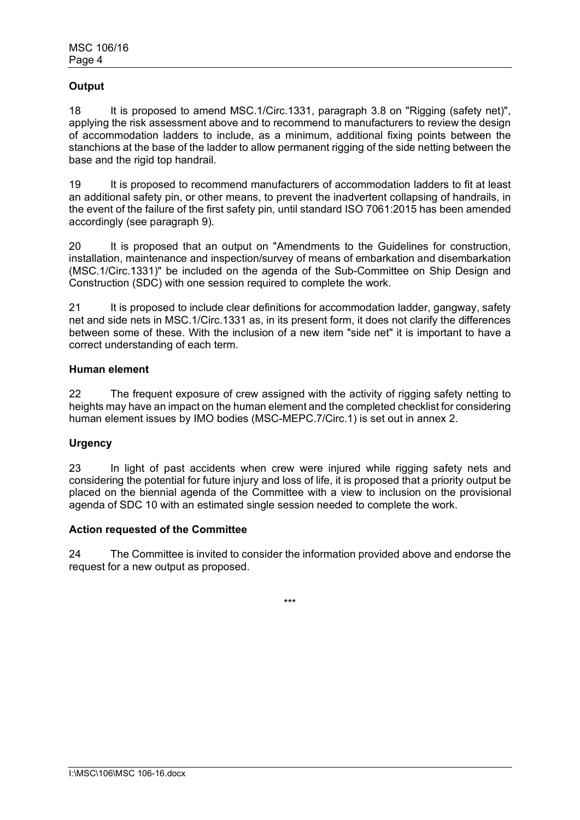# **Output**

18 It is proposed to amend MSC.1/Circ.1331, paragraph 3.8 on "Rigging (safety net)", applying the risk assessment above and to recommend to manufacturers to review the design of accommodation ladders to include, as a minimum, additional fixing points between the stanchions at the base of the ladder to allow permanent rigging of the side netting between the base and the rigid top handrail.

19 It is proposed to recommend manufacturers of accommodation ladders to fit at least an additional safety pin, or other means, to prevent the inadvertent collapsing of handrails, in the event of the failure of the first safety pin, until standard ISO 7061:2015 has been amended accordingly (see paragraph 9).

20 It is proposed that an output on "Amendments to the Guidelines for construction, installation, maintenance and inspection/survey of means of embarkation and disembarkation (MSC.1/Circ.1331)" be included on the agenda of the Sub-Committee on Ship Design and Construction (SDC) with one session required to complete the work.

21 It is proposed to include clear definitions for accommodation ladder, gangway, safety net and side nets in MSC.1/Circ.1331 as, in its present form, it does not clarify the differences between some of these. With the inclusion of a new item "side net" it is important to have a correct understanding of each term.

#### **Human element**

22 The frequent exposure of crew assigned with the activity of rigging safety netting to heights may have an impact on the human element and the completed checklist for considering human element issues by IMO bodies (MSC-MEPC.7/Circ.1) is set out in annex 2.

## **Urgency**

23 In light of past accidents when crew were injured while rigging safety nets and considering the potential for future injury and loss of life, it is proposed that a priority output be placed on the biennial agenda of the Committee with a view to inclusion on the provisional agenda of SDC 10 with an estimated single session needed to complete the work.

#### **Action requested of the Committee**

24 The Committee is invited to consider the information provided above and endorse the request for a new output as proposed.

\*\*\*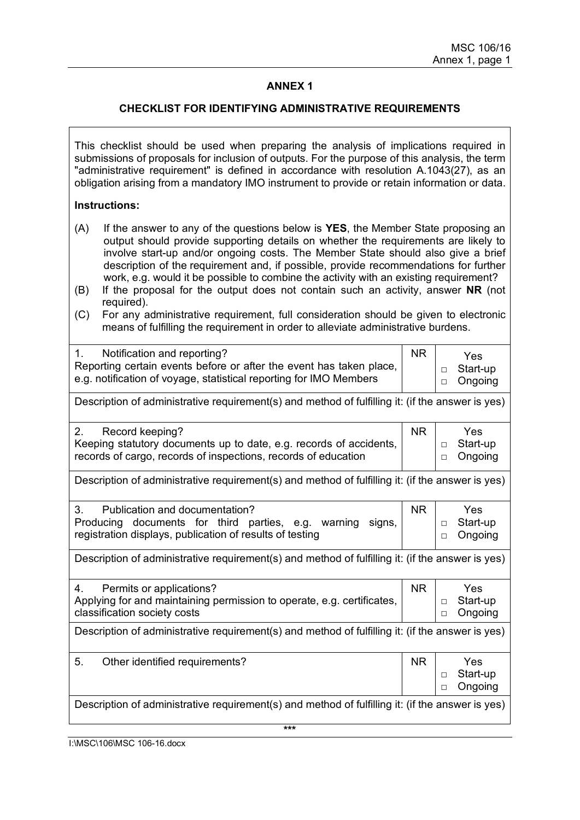## **ANNEX 1**

#### **CHECKLIST FOR IDENTIFYING ADMINISTRATIVE REQUIREMENTS**

This checklist should be used when preparing the analysis of implications required in submissions of proposals for inclusion of outputs. For the purpose of this analysis, the term "administrative requirement" is defined in accordance with resolution A.1043(27), as an obligation arising from a mandatory IMO instrument to provide or retain information or data.

#### **Instructions:**

- (A) If the answer to any of the questions below is **YES**, the Member State proposing an output should provide supporting details on whether the requirements are likely to involve start-up and/or ongoing costs. The Member State should also give a brief description of the requirement and, if possible, provide recommendations for further work, e.g. would it be possible to combine the activity with an existing requirement?
- (B) If the proposal for the output does not contain such an activity, answer **NR** (not required).
- (C) For any administrative requirement, full consideration should be given to electronic means of fulfilling the requirement in order to alleviate administrative burdens.

| Notification and reporting?<br>Reporting certain events before or after the event has taken place,<br>e.g. notification of voyage, statistical reporting for IMO Members |  | <b>Yes</b><br>Start-up<br>$\Box$<br>□ Ongoing |
|--------------------------------------------------------------------------------------------------------------------------------------------------------------------------|--|-----------------------------------------------|
| Description of administrative requirement(s) and method of fulfilling it: (if the answer is yes)                                                                         |  |                                               |

| Record keeping?<br>2.                                              | <b>NR</b> | Yes            |
|--------------------------------------------------------------------|-----------|----------------|
| Keeping statutory documents up to date, e.g. records of accidents, |           |                |
| records of cargo, records of inspections, records of education     |           | $\Box$ Ongoing |
|                                                                    |           |                |

Description of administrative requirement(s) and method of fulfilling it: (if the answer is yes)

| Publication and documentation?<br>$3_{-}$<br>Producing documents for third parties, e.g. warning signs,<br>registration displays, publication of results of testing | <b>NR</b> | Yes.<br>□ Start-up<br>□ Ongoing |
|---------------------------------------------------------------------------------------------------------------------------------------------------------------------|-----------|---------------------------------|

Description of administrative requirement(s) and method of fulfilling it: (if the answer is yes)

| Permits or applications?<br>4.                                         | <b>NR</b> | Yes        |
|------------------------------------------------------------------------|-----------|------------|
| Applying for and maintaining permission to operate, e.g. certificates, |           | □ Start-up |
| classification society costs                                           |           | □ Ongoing  |
|                                                                        |           |            |

Description of administrative requirement(s) and method of fulfilling it: (if the answer is yes)

| -5. | Other identified requirements?                                                                   | <b>NR</b> | Yes                |
|-----|--------------------------------------------------------------------------------------------------|-----------|--------------------|
|     |                                                                                                  |           | Start-up<br>$\Box$ |
|     |                                                                                                  |           | D Ongoing          |
|     | Description of administrative requirement(s) and method of fulfilling it: (if the answer is yes) |           |                    |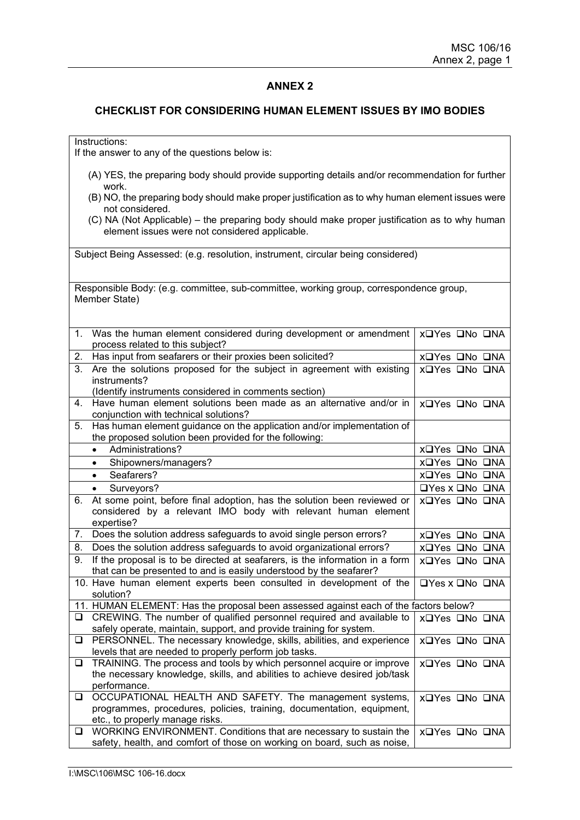#### **ANNEX 2**

#### **CHECKLIST FOR CONSIDERING HUMAN ELEMENT ISSUES BY IMO BODIES**

Instructions:

If the answer to any of the questions below is:

- (A) YES, the preparing body should provide supporting details and/or recommendation for further work.
- (B) NO, the preparing body should make proper justification as to why human element issues were not considered.
- (C) NA (Not Applicable) the preparing body should make proper justification as to why human element issues were not considered applicable.

Subject Being Assessed: (e.g. resolution, instrument, circular being considered)

Responsible Body: (e.g. committee, sub-committee, working group, correspondence group, Member State)

| 1.     | Was the human element considered during development or amendment<br>process related to this subject?                                        | X□Yes □No □NA                    |
|--------|---------------------------------------------------------------------------------------------------------------------------------------------|----------------------------------|
| 2.     | Has input from seafarers or their proxies been solicited?                                                                                   | X□Yes □No □NA                    |
| 3.     | Are the solutions proposed for the subject in agreement with existing<br>instruments?                                                       | X□Yes □No □NA                    |
|        | (Identify instruments considered in comments section)                                                                                       |                                  |
| 4.     | Have human element solutions been made as an alternative and/or in<br>conjunction with technical solutions?                                 | X□Yes □No □NA                    |
| 5.     | Has human element guidance on the application and/or implementation of                                                                      |                                  |
|        | the proposed solution been provided for the following:                                                                                      |                                  |
|        | Administrations?<br>$\bullet$                                                                                                               | X□Yes □No □NA                    |
|        | Shipowners/managers?<br>$\bullet$                                                                                                           | X□Yes □No □NA                    |
|        | Seafarers?<br>$\bullet$                                                                                                                     | X□Yes □No □NA                    |
|        | Surveyors?<br>$\bullet$                                                                                                                     | $\Box$ Yes x $\Box$ No $\Box$ NA |
| 6.     | At some point, before final adoption, has the solution been reviewed or                                                                     | X□Yes □No □NA                    |
|        | considered by a relevant IMO body with relevant human element<br>expertise?                                                                 |                                  |
| 7.     | Does the solution address safeguards to avoid single person errors?                                                                         | X□Yes □No □NA                    |
| 8.     | Does the solution address safeguards to avoid organizational errors?                                                                        | X□Yes □No □NA                    |
| 9.     | If the proposal is to be directed at seafarers, is the information in a form                                                                | XOYes ONo ONA                    |
|        | that can be presented to and is easily understood by the seafarer?                                                                          |                                  |
|        | 10. Have human element experts been consulted in development of the<br>solution?                                                            | <b>OYes x ONo ONA</b>            |
|        | 11. HUMAN ELEMENT: Has the proposal been assessed against each of the factors below?                                                        |                                  |
| □      | CREWING. The number of qualified personnel required and available to<br>safely operate, maintain, support, and provide training for system. | X□Yes □No □NA                    |
| $\Box$ | PERSONNEL. The necessary knowledge, skills, abilities, and experience                                                                       | XOYes ONo ONA                    |
|        | levels that are needed to properly perform job tasks.                                                                                       |                                  |
| $\Box$ | TRAINING. The process and tools by which personnel acquire or improve                                                                       | XOYes ONo ONA                    |
|        | the necessary knowledge, skills, and abilities to achieve desired job/task                                                                  |                                  |
|        | performance.                                                                                                                                |                                  |
| $\Box$ | OCCUPATIONAL HEALTH AND SAFETY. The management systems,<br>programmes, procedures, policies, training, documentation, equipment,            | XOYes ONo ONA                    |
|        | etc., to properly manage risks.                                                                                                             |                                  |
| ❏      | WORKING ENVIRONMENT. Conditions that are necessary to sustain the                                                                           | XOYes ONo ONA                    |
|        | safety, health, and comfort of those on working on board, such as noise,                                                                    |                                  |
|        |                                                                                                                                             |                                  |